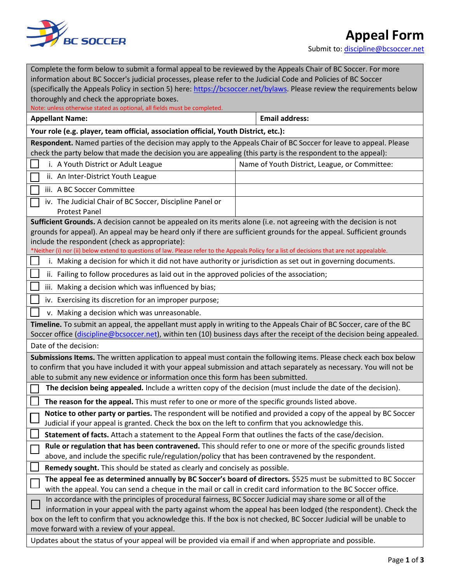

## **Appeal Form**

Submit to[: discipline@bcsoccer.net](mailto:discipline@bcsoccer.net)

| Complete the form below to submit a formal appeal to be reviewed by the Appeals Chair of BC Soccer. For more                                                                                                                      |                                               |
|-----------------------------------------------------------------------------------------------------------------------------------------------------------------------------------------------------------------------------------|-----------------------------------------------|
| information about BC Soccer's judicial processes, please refer to the Judicial Code and Policies of BC Soccer                                                                                                                     |                                               |
| (specifically the Appeals Policy in section 5) here: https://bcsoccer.net/bylaws. Please review the requirements below                                                                                                            |                                               |
| thoroughly and check the appropriate boxes.                                                                                                                                                                                       |                                               |
| Note: unless otherwise stated as optional, all fields must be completed.                                                                                                                                                          |                                               |
| <b>Appellant Name:</b>                                                                                                                                                                                                            | <b>Email address:</b>                         |
| Your role (e.g. player, team official, association official, Youth District, etc.):                                                                                                                                               |                                               |
| Respondent. Named parties of the decision may apply to the Appeals Chair of BC Soccer for leave to appeal. Please<br>check the party below that made the decision you are appealing (this party is the respondent to the appeal): |                                               |
| i. A Youth District or Adult League                                                                                                                                                                                               | Name of Youth District, League, or Committee: |
| ii. An Inter-District Youth League                                                                                                                                                                                                |                                               |
| iii. A BC Soccer Committee                                                                                                                                                                                                        |                                               |
| iv. The Judicial Chair of BC Soccer, Discipline Panel or                                                                                                                                                                          |                                               |
| <b>Protest Panel</b>                                                                                                                                                                                                              |                                               |
| Sufficient Grounds. A decision cannot be appealed on its merits alone (i.e. not agreeing with the decision is not                                                                                                                 |                                               |
| grounds for appeal). An appeal may be heard only if there are sufficient grounds for the appeal. Sufficient grounds                                                                                                               |                                               |
| include the respondent (check as appropriate):                                                                                                                                                                                    |                                               |
| *Neither (i) nor (ii) below extend to questions of law. Please refer to the Appeals Policy for a list of decisions that are not appealable.                                                                                       |                                               |
| i. Making a decision for which it did not have authority or jurisdiction as set out in governing documents.                                                                                                                       |                                               |
| ii. Failing to follow procedures as laid out in the approved policies of the association;                                                                                                                                         |                                               |
| iii. Making a decision which was influenced by bias;                                                                                                                                                                              |                                               |
| iv. Exercising its discretion for an improper purpose;                                                                                                                                                                            |                                               |
| v. Making a decision which was unreasonable.                                                                                                                                                                                      |                                               |
| Timeline. To submit an appeal, the appellant must apply in writing to the Appeals Chair of BC Soccer, care of the BC                                                                                                              |                                               |
| Soccer office (discipline@bcsoccer.net), within ten (10) business days after the receipt of the decision being appealed.                                                                                                          |                                               |
| Date of the decision:                                                                                                                                                                                                             |                                               |
| Submissions Items. The written application to appeal must contain the following items. Please check each box below                                                                                                                |                                               |
| to confirm that you have included it with your appeal submission and attach separately as necessary. You will not be                                                                                                              |                                               |
| able to submit any new evidence or information once this form has been submitted.                                                                                                                                                 |                                               |
| The decision being appealed. Include a written copy of the decision (must include the date of the decision).                                                                                                                      |                                               |
| The reason for the appeal. This must refer to one or more of the specific grounds listed above.                                                                                                                                   |                                               |
| Notice to other party or parties. The respondent will be notified and provided a copy of the appeal by BC Soccer<br>Judicial if your appeal is granted. Check the box on the left to confirm that you acknowledge this.           |                                               |
| Statement of facts. Attach a statement to the Appeal Form that outlines the facts of the case/decision.                                                                                                                           |                                               |
| Rule or regulation that has been contravened. This should refer to one or more of the specific grounds listed<br>above, and include the specific rule/regulation/policy that has been contravened by the respondent.              |                                               |
| Remedy sought. This should be stated as clearly and concisely as possible.                                                                                                                                                        |                                               |
| The appeal fee as determined annually by BC Soccer's board of directors. \$525 must be submitted to BC Soccer                                                                                                                     |                                               |
| with the appeal. You can send a cheque in the mail or call in credit card information to the BC Soccer office.                                                                                                                    |                                               |
| In accordance with the principles of procedural fairness, BC Soccer Judicial may share some or all of the                                                                                                                         |                                               |
| information in your appeal with the party against whom the appeal has been lodged (the respondent). Check the                                                                                                                     |                                               |
| box on the left to confirm that you acknowledge this. If the box is not checked, BC Soccer Judicial will be unable to                                                                                                             |                                               |
| move forward with a review of your appeal.                                                                                                                                                                                        |                                               |
| Updates about the status of your appeal will be provided via email if and when appropriate and possible.                                                                                                                          |                                               |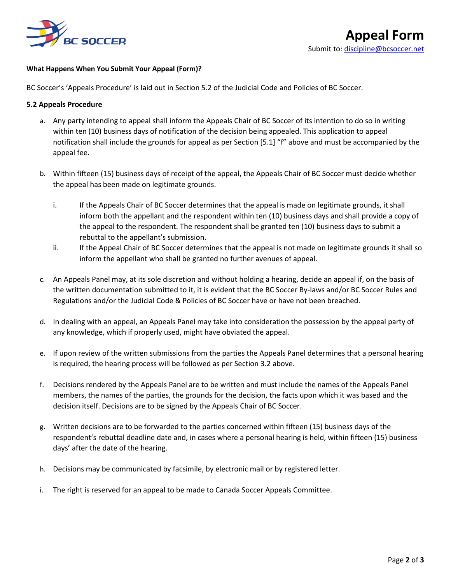

## **What Happens When You Submit Your Appeal (Form)?**

BC Soccer's 'Appeals Procedure' is laid out in Section 5.2 of the Judicial Code and Policies of BC Soccer.

## **5.2 Appeals Procedure**

- a. Any party intending to appeal shall inform the Appeals Chair of BC Soccer of its intention to do so in writing within ten (10) business days of notification of the decision being appealed. This application to appeal notification shall include the grounds for appeal as per Section [5.1] "f" above and must be accompanied by the appeal fee.
- b. Within fifteen (15) business days of receipt of the appeal, the Appeals Chair of BC Soccer must decide whether the appeal has been made on legitimate grounds.
	- i. If the Appeals Chair of BC Soccer determines that the appeal is made on legitimate grounds, it shall inform both the appellant and the respondent within ten (10) business days and shall provide a copy of the appeal to the respondent. The respondent shall be granted ten (10) business days to submit a rebuttal to the appellant's submission.
	- ii. If the Appeal Chair of BC Soccer determines that the appeal is not made on legitimate grounds it shall so inform the appellant who shall be granted no further avenues of appeal.
- c. An Appeals Panel may, at its sole discretion and without holding a hearing, decide an appeal if, on the basis of the written documentation submitted to it, it is evident that the BC Soccer By-laws and/or BC Soccer Rules and Regulations and/or the Judicial Code & Policies of BC Soccer have or have not been breached.
- d. In dealing with an appeal, an Appeals Panel may take into consideration the possession by the appeal party of any knowledge, which if properly used, might have obviated the appeal.
- e. If upon review of the written submissions from the parties the Appeals Panel determines that a personal hearing is required, the hearing process will be followed as per Section 3.2 above.
- f. Decisions rendered by the Appeals Panel are to be written and must include the names of the Appeals Panel members, the names of the parties, the grounds for the decision, the facts upon which it was based and the decision itself. Decisions are to be signed by the Appeals Chair of BC Soccer.
- g. Written decisions are to be forwarded to the parties concerned within fifteen (15) business days of the respondent's rebuttal deadline date and, in cases where a personal hearing is held, within fifteen (15) business days' after the date of the hearing.
- h. Decisions may be communicated by facsimile, by electronic mail or by registered letter.
- i. The right is reserved for an appeal to be made to Canada Soccer Appeals Committee.